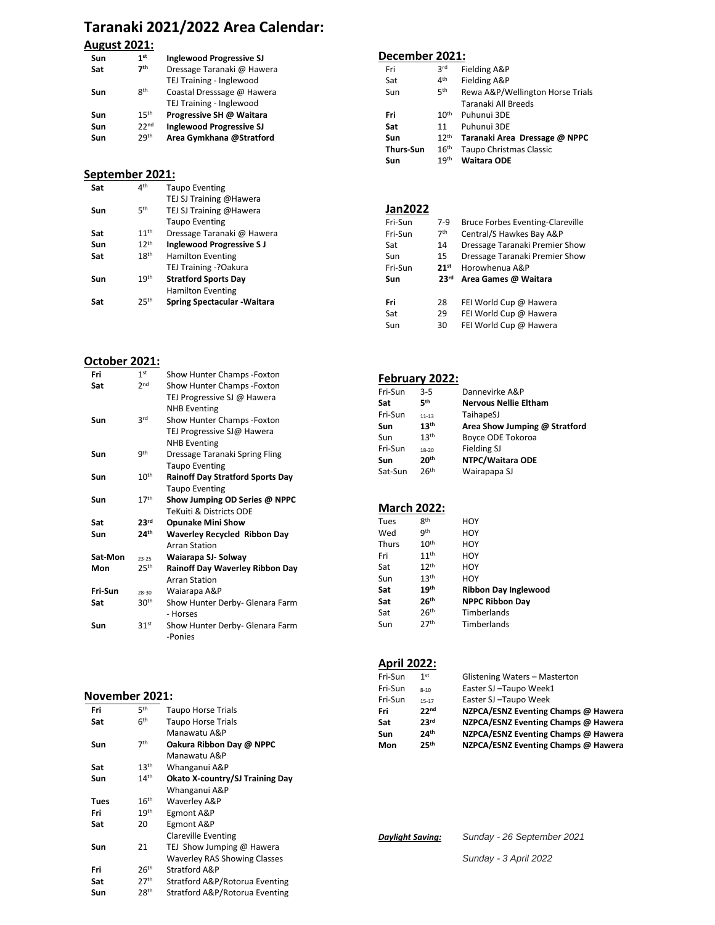# **Taranaki 2021/2022 Area Calendar:**

#### **August 2021:**

| Sun | 1 <sup>st</sup>  | <b>Inglewood Progressive SJ</b> |
|-----|------------------|---------------------------------|
| Sat | <b>7th</b>       | Dressage Taranaki @ Hawera      |
|     |                  | TEJ Training - Inglewood        |
| Sun | gth              | Coastal Dresssage @ Hawera      |
|     |                  | TEJ Training - Inglewood        |
| Sun | 15 <sup>th</sup> | Progressive SH @ Waitara        |
| Sun | 22 <sub>nd</sub> | <b>Inglewood Progressive SJ</b> |
| Sun | 29th             | Area Gymkhana @Stratford        |

#### **September 2021:**

| Sat | 4 <sup>th</sup>  | <b>Taupo Eventing</b>           |
|-----|------------------|---------------------------------|
|     |                  | TEJ SJ Training @Hawera         |
| Sun | ςth              | TEJ SJ Training @Hawera         |
|     |                  | <b>Taupo Eventing</b>           |
| Sat | 11 <sup>th</sup> | Dressage Taranaki @ Hawera      |
| Sun | 12 <sup>th</sup> | <b>Inglewood Progressive SJ</b> |
| Sat | 18 <sup>th</sup> | <b>Hamilton Eventing</b>        |
|     |                  | TEJ Training -?Oakura           |
| Sun | $1q$ th          | <b>Stratford Sports Day</b>     |
|     |                  | <b>Hamilton Eventing</b>        |
| Sat | つらth             | Spring Spectacular - Waitara    |
|     |                  |                                 |

## **October 2021:**

| Fri     | 1 <sup>st</sup>  | Show Hunter Champs - Foxton                |
|---------|------------------|--------------------------------------------|
| Sat     | 2 <sub>nd</sub>  | Show Hunter Champs - Foxton                |
|         |                  | TEJ Progressive SJ @ Hawera                |
|         |                  | <b>NHB Eventing</b>                        |
| Sun     | <b>3rd</b>       | Show Hunter Champs - Foxton                |
|         |                  | TEJ Progressive SJ@ Hawera                 |
|         |                  | <b>NHB Eventing</b>                        |
| Sun     | qth              | Dressage Taranaki Spring Fling             |
|         |                  | <b>Taupo Eventing</b>                      |
| Sun     | 10 <sup>th</sup> | <b>Rainoff Day Stratford Sports Day</b>    |
|         |                  | <b>Taupo Eventing</b>                      |
| Sun     | 17 <sup>th</sup> | Show Jumping OD Series @ NPPC              |
|         |                  | <b>TeKuiti &amp; Districts ODE</b>         |
| Sat     | 23 <sup>rd</sup> | <b>Opunake Mini Show</b>                   |
| Sun     | 24 <sup>th</sup> | <b>Waverley Recycled Ribbon Day</b>        |
|         |                  | <b>Arran Station</b>                       |
|         |                  |                                            |
| Sat-Mon | 23-25            | Waiarapa SJ-Solway                         |
| Mon     | 25 <sup>th</sup> | <b>Rainoff Day Waverley Ribbon Day</b>     |
|         |                  | <b>Arran Station</b>                       |
| Fri-Sun | 28-30            | Waiarapa A&P                               |
| Sat     | 30 <sup>th</sup> | Show Hunter Derby- Glenara Farm            |
|         |                  | - Horses                                   |
| Sun     | 31 <sup>st</sup> | Show Hunter Derby- Glenara Farm<br>-Ponies |

### **November 2021:**

| Fri         | ςth              | <b>Taupo Horse Trials</b>           |
|-------------|------------------|-------------------------------------|
| Sat         | 6 <sup>th</sup>  | <b>Taupo Horse Trials</b>           |
|             |                  | Manawatu A&P                        |
| Sun         | 7 <sup>th</sup>  | Oakura Ribbon Day @ NPPC            |
|             |                  | Manawatu A&P                        |
| Sat         | 13 <sup>th</sup> | Whanganui A&P                       |
| Sun         | 14 <sup>th</sup> | Okato X-country/SJ Training Day     |
|             |                  | Whanganui A&P                       |
| <b>Tues</b> | 16 <sup>th</sup> | Waverley A&P                        |
| Fri         | 19 <sup>th</sup> | Egmont A&P                          |
| Sat         | 20               | Egmont A&P                          |
|             |                  | <b>Clareville Eventing</b>          |
| Sun         | 21               | TEJ Show Jumping @ Hawera           |
|             |                  | <b>Waverley RAS Showing Classes</b> |
| Fri         | 26 <sup>th</sup> | Stratford A&P                       |
| Sat         | 27 <sup>th</sup> | Stratford A&P/Rotorua Eventing      |
| Sun         | 28 <sup>th</sup> | Stratford A&P/Rotorua Eventing      |

## **December 2021:**

| Fri              | 3rd              | Fielding A&P                     |
|------------------|------------------|----------------------------------|
| Sat              | 4 <sup>th</sup>  | Fielding A&P                     |
| Sun              | 5 <sup>th</sup>  | Rewa A&P/Wellington Horse Trials |
|                  |                  | Taranaki All Breeds              |
| Fri              | 10 <sup>th</sup> | Puhunui 3DE                      |
| Sat              | 11               | Puhunui 3DE                      |
| Sun              | 12 <sup>th</sup> | Taranaki Area Dressage @ NPPC    |
| <b>Thurs-Sun</b> | 16 <sup>th</sup> | Taupo Christmas Classic          |
| Sun              | 19 <sup>th</sup> | <b>Waitara ODE</b>               |
|                  |                  |                                  |

## **Jan2022**

| Fri-Sun | $7-9$            | <b>Bruce Forbes Eventing-Clareville</b> |
|---------|------------------|-----------------------------------------|
| Fri-Sun | 7 <sup>th</sup>  | Central/S Hawkes Bay A&P                |
| Sat     | 14               | Dressage Taranaki Premier Show          |
| Sun     | 15               | Dressage Taranaki Premier Show          |
| Fri-Sun | 21 <sup>st</sup> | Horowhenua A&P                          |
| Sun     | 23 <sup>rd</sup> | Area Games @ Waitara                    |
| Fri     | 28               | FEI World Cup @ Hawera                  |
| Sat     | 29               | FEI World Cup @ Hawera                  |
| Sun     | 30               | FEI World Cup @ Hawera                  |

## **February 2022:**

| Fri-Sun | 3-5              | Dannevirke A&P                |
|---------|------------------|-------------------------------|
| Sat     | ςth              | <b>Nervous Nellie Eltham</b>  |
| Fri-Sun | $11 - 13$        | TaihapeSJ                     |
| Sun     | 13 <sup>th</sup> | Area Show Jumping @ Stratford |
| Sun     | 13 <sup>th</sup> | <b>Boyce ODE Tokoroa</b>      |
| Fri-Sun | 18-20            | <b>Fielding SJ</b>            |
| Sun     | 20 <sup>th</sup> | NTPC/Waitara ODE              |
| Sat-Sun | 26 <sup>th</sup> | Wairapapa SJ                  |
|         |                  |                               |

## **March 2022:**

| Tues         | <b>Rth</b>       | HOY                         |
|--------------|------------------|-----------------------------|
| Wed          | qth              | HOY                         |
| <b>Thurs</b> | 10 <sup>th</sup> | HOY                         |
| Fri          | 11 <sup>th</sup> | HOY                         |
| Sat          | 12 <sup>th</sup> | HOY                         |
| Sun          | 13 <sup>th</sup> | HOY                         |
| Sat          | 19 <sup>th</sup> | <b>Ribbon Day Inglewood</b> |
| Sat          | 26 <sup>th</sup> | <b>NPPC Ribbon Day</b>      |
| Sat          | 26 <sup>th</sup> | Timberlands                 |
| Sun          | 27 <sup>th</sup> | Timberlands                 |

## **April 2022:**

| ANIII 6766. |                  |                                     |
|-------------|------------------|-------------------------------------|
| Fri-Sun     | 1 <sup>st</sup>  | Glistening Waters - Masterton       |
| Fri-Sun     | $8 - 10$         | Easter SJ-Taupo Week1               |
| Fri-Sun     | $15 - 17$        | Easter SJ-Taupo Week                |
| Fri         | 22 <sub>nd</sub> | NZPCA/ESNZ Eventing Champs @ Hawera |
| Sat         | 23 <sup>rd</sup> | NZPCA/ESNZ Eventing Champs @ Hawera |
| Sun         | 24 <sup>th</sup> | NZPCA/ESNZ Eventing Champs @ Hawera |
| Mon         | 25 <sup>th</sup> | NZPCA/ESNZ Eventing Champs @ Hawera |
|             |                  |                                     |

*Daylight Saving: Sunday - 26 September 2021*

*Sunday - 3 April 2022*